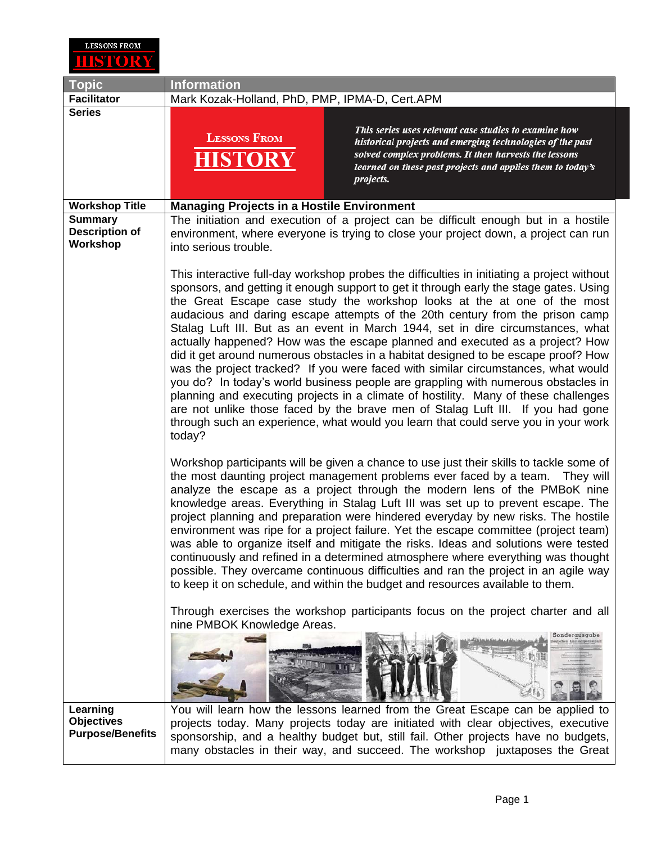

| <b>Topic</b>                                                                 | <b>Information</b>                                                                                                                                                                                                                                                                                                                                                                                                                                                                                                                                                                                                                                                                                                                                                                                                                                                                                                                                                                                                                                             |
|------------------------------------------------------------------------------|----------------------------------------------------------------------------------------------------------------------------------------------------------------------------------------------------------------------------------------------------------------------------------------------------------------------------------------------------------------------------------------------------------------------------------------------------------------------------------------------------------------------------------------------------------------------------------------------------------------------------------------------------------------------------------------------------------------------------------------------------------------------------------------------------------------------------------------------------------------------------------------------------------------------------------------------------------------------------------------------------------------------------------------------------------------|
| <b>Facilitator</b>                                                           | Mark Kozak-Holland, PhD, PMP, IPMA-D, Cert.APM                                                                                                                                                                                                                                                                                                                                                                                                                                                                                                                                                                                                                                                                                                                                                                                                                                                                                                                                                                                                                 |
| <b>Series</b>                                                                | This series uses relevant case studies to examine how<br><b>LESSONS FROM</b><br>historical projects and emerging technologies of the past<br>solved complex problems. It then harvests the lessons<br>HISTO<br>learned on these past projects and applies them to today's<br>projects.                                                                                                                                                                                                                                                                                                                                                                                                                                                                                                                                                                                                                                                                                                                                                                         |
|                                                                              |                                                                                                                                                                                                                                                                                                                                                                                                                                                                                                                                                                                                                                                                                                                                                                                                                                                                                                                                                                                                                                                                |
| <b>Workshop Title</b><br><b>Summary</b><br><b>Description of</b><br>Workshop | <b>Managing Projects in a Hostile Environment</b><br>The initiation and execution of a project can be difficult enough but in a hostile<br>environment, where everyone is trying to close your project down, a project can run<br>into serious trouble.                                                                                                                                                                                                                                                                                                                                                                                                                                                                                                                                                                                                                                                                                                                                                                                                        |
|                                                                              | This interactive full-day workshop probes the difficulties in initiating a project without<br>sponsors, and getting it enough support to get it through early the stage gates. Using<br>the Great Escape case study the workshop looks at the at one of the most<br>audacious and daring escape attempts of the 20th century from the prison camp<br>Stalag Luft III. But as an event in March 1944, set in dire circumstances, what<br>actually happened? How was the escape planned and executed as a project? How<br>did it get around numerous obstacles in a habitat designed to be escape proof? How<br>was the project tracked? If you were faced with similar circumstances, what would<br>you do? In today's world business people are grappling with numerous obstacles in<br>planning and executing projects in a climate of hostility. Many of these challenges<br>are not unlike those faced by the brave men of Stalag Luft III. If you had gone<br>through such an experience, what would you learn that could serve you in your work<br>today? |
|                                                                              | Workshop participants will be given a chance to use just their skills to tackle some of<br>the most daunting project management problems ever faced by a team. They will<br>analyze the escape as a project through the modern lens of the PMBoK nine<br>knowledge areas. Everything in Stalag Luft III was set up to prevent escape. The<br>project planning and preparation were hindered everyday by new risks. The hostile<br>environment was ripe for a project failure. Yet the escape committee (project team)<br>was able to organize itself and mitigate the risks. Ideas and solutions were tested<br>continuously and refined in a determined atmosphere where everything was thought<br>possible. They overcame continuous difficulties and ran the project in an agile way<br>to keep it on schedule, and within the budget and resources available to them.                                                                                                                                                                                      |
|                                                                              | Through exercises the workshop participants focus on the project charter and all<br>nine PMBOK Knowledge Areas.<br>Sonderausgabe                                                                                                                                                                                                                                                                                                                                                                                                                                                                                                                                                                                                                                                                                                                                                                                                                                                                                                                               |
| Learning<br><b>Objectives</b><br><b>Purpose/Benefits</b>                     | You will learn how the lessons learned from the Great Escape can be applied to<br>projects today. Many projects today are initiated with clear objectives, executive<br>sponsorship, and a healthy budget but, still fail. Other projects have no budgets,<br>many obstacles in their way, and succeed. The workshop juxtaposes the Great                                                                                                                                                                                                                                                                                                                                                                                                                                                                                                                                                                                                                                                                                                                      |